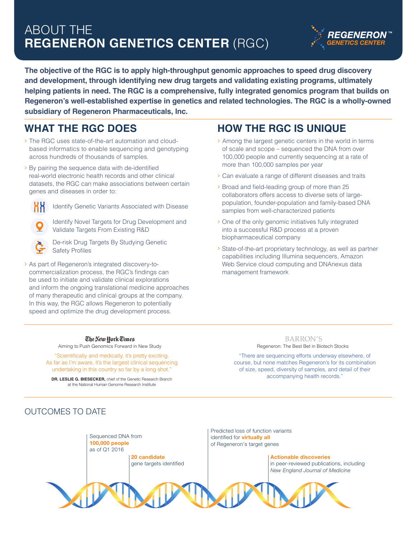# ABOUT THE **REGENERON GENETICS CENTER** (RGC)



**The objective of the RGC is to apply high-throughput genomic approaches to speed drug discovery and development, through identifying new drug targets and validating existing programs, ultimately helping patients in need. The RGC is a comprehensive, fully integrated genomics program that builds on Regeneron's well-established expertise in genetics and related technologies. The RGC is a wholly-owned subsidiary of Regeneron Pharmaceuticals, Inc.** 

## **WHAT THE RGC DOES**

- › The RGC uses state-of-the-art automation and cloudbased informatics to enable sequencing and genotyping across hundreds of thousands of samples.
- > By pairing the sequence data with de-identified real-world electronic health records and other clinical datasets, the RGC can make associations between certain genes and diseases in order to:



Identify Genetic Variants Associated with Disease

Identify Novel Targets for Drug Development and Validate Targets From Existing R&D



De-risk Drug Targets By Studying Genetic Safety Profiles

› As part of Regeneron's integrated discovery-tocommercialization process, the RGC's findings can be used to initiate and validate clinical explorations and inform the ongoing translational medicine approaches of many therapeutic and clinical groups at the company. In this way, the RGC allows Regeneron to potentially speed and optimize the drug development process.

## **HOW THE RGC IS UNIQUE**

- › Among the largest genetic centers in the world in terms of scale and scope – sequenced the DNA from over 100,000 people and currently sequencing at a rate of more than 100,000 samples per year
- › Can evaluate a range of different diseases and traits
- > Broad and field-leading group of more than 25 collaborators offers access to diverse sets of largepopulation, founder-population and family-based DNA samples from well-characterized patients
- › One of the only genomic initiatives fully integrated into a successful R&D process at a proven biopharmaceutical company
- › State-of-the-art proprietary technology, as well as partner capabilities including Illumina sequencers, Amazon Web Service cloud computing and DNAnexus data management framework

## The New York Times

"Scientifically and medically, it's pretty exciting. As far as I'm aware, it's the largest clinical sequencing undertaking in this country so far by a long shot."

**DR. LESLIE G. BIESECKER,** chief of the Genetic Research Branch at the National Human Genome Research Institute

**BARRON'S** Aiming to Push Genomics Forward in New Study **Regeneron:** The Best Bet in Biotech Stocks

> "There are sequencing efforts underway elsewhere, of course, but none matches Regeneron's for its combination of size, speed, diversity of samples, and detail of their accompanying health records."

## OUTCOMES TO DATE

Sequenced DNA from **100,000 people** as of Q1 2016 **20 candidate** gene targets identified Predicted loss of function variants identified for **virtually all** of Regeneron's target genes **Actionable discoveries** in peer-reviewed publications, including *New England Journal of Medicine*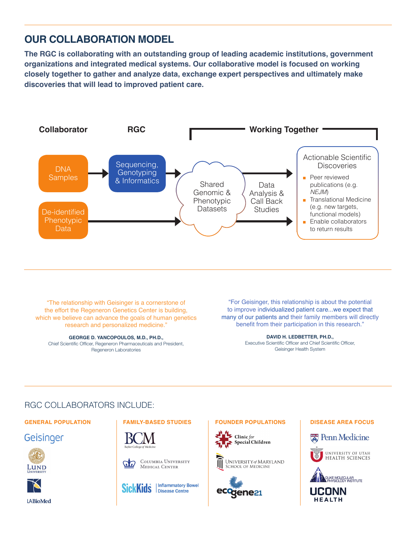## **OUR COLLABORATION MODEL**

**The RGC is collaborating with an outstanding group of leading academic institutions, government organizations and integrated medical systems. Our collaborative model is focused on working closely together to gather and analyze data, exchange expert perspectives and ultimately make discoveries that will lead to improved patient care.**



"The relationship with Geisinger is a cornerstone of the effort the Regeneron Genetics Center is building, which we believe can advance the goals of human genetics research and personalized medicine."

**GEORGE D. YANCOPOULOS, M.D., PH.D.,** Chief Scientific Officer, Regeneron Pharmaceuticals and President, Regeneron Laboratories

"For Geisinger, this relationship is about the potential to improve individualized patient care...we expect that many of our patients and their family members will directly benefit from their participation in this research."

> **DAVID H. LEDBETTER, PH.D.,** Executive Scientific Officer and Chief Scientific Officer, Geisinger Health System

### RGC COLLABORATORS INCLUDE:

Geisinger





LABioMed



COLUMBIA UNIVERSITY  $\omega$ MEDICAL CENTER



### **GENERAL POPULATION FAMILY-BASED STUDIES FOUNDER POPULATIONS DISEASE AREA FOCUS**



UNIVERSITY of MARYLAND **SCHOOL OF MEDICINE** 









UCONN **HEALTH**